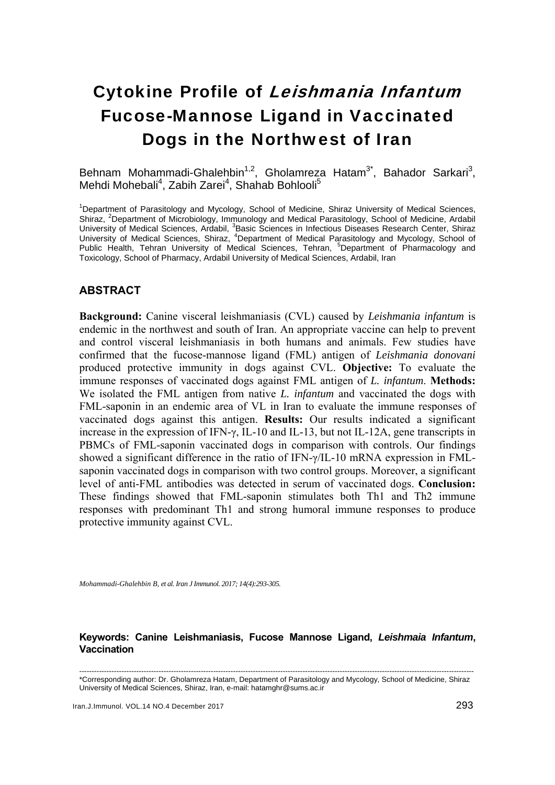# Cytokine Profile of Leishmania Infantum Fucose-Mannose Ligand in Vaccinated Dogs in the Northwest of Iran

Behnam Mohammadi-Ghalehbin<sup>1,2</sup>, Gholamreza Hatam<sup>3\*</sup>, Bahador Sarkari<sup>3</sup>, Mehdi Mohebali<sup>4</sup>, Zabih Zarei<sup>4</sup>, Shahab Bohlooli<sup>5</sup>

<sup>1</sup>Department of Parasitology and Mycology, School of Medicine, Shiraz University of Medical Sciences, Shiraz, <sup>2</sup>Department of Microbiology, Immunology and Medical Parasitology, School of Medicine, Ardabil University of Medical Sciences, Ardabil, <sup>3</sup>Basic Sciences in Infectious Diseases Research Center, Shiraz University of Medical Sciences, Shiraz, <sup>4</sup>Department of Medical Parasitology and Mycology, School of Public Health, Tehran University of Medical Sciences, Tehran, <sup>5</sup>Department of Pharmacology and Toxicology, School of Pharmacy, Ardabil University of Medical Sciences, Ardabil, Iran

# **ABSTRACT**

**Background:** Canine visceral leishmaniasis (CVL) caused by *Leishmania infantum* is endemic in the northwest and south of Iran. An appropriate vaccine can help to prevent and control visceral leishmaniasis in both humans and animals. Few studies have confirmed that the fucose-mannose ligand (FML) antigen of *Leishmania donovani* produced protective immunity in dogs against CVL. **Objective:** To evaluate the immune responses of vaccinated dogs against FML antigen of *L. infantum*. **Methods:** We isolated the FML antigen from native *L. infantum* and vaccinated the dogs with FML-saponin in an endemic area of VL in Iran to evaluate the immune responses of vaccinated dogs against this antigen. **Results:** Our results indicated a significant increase in the expression of IFN- $\gamma$ , IL-10 and IL-13, but not IL-12A, gene transcripts in PBMCs of FML-saponin vaccinated dogs in comparison with controls. Our findings showed a significant difference in the ratio of IFN-γ/IL-10 mRNA expression in FMLsaponin vaccinated dogs in comparison with two control groups. Moreover, a significant level of anti-FML antibodies was detected in serum of vaccinated dogs. **Conclusion:** These findings showed that FML-saponin stimulates both Th1 and Th2 immune responses with predominant Th1 and strong humoral immune responses to produce protective immunity against CVL.

*Mohammadi-Ghalehbin B, et al. Iran J Immunol. 2017; 14(4):293-305.* 

#### **Keywords: Canine Leishmaniasis, Fucose Mannose Ligand,** *Leishmaia Infantum***, Vaccination**

<sup>---------------------------------------------------------------------------------------------------------------------------------------------------------------</sup>  \*Corresponding author: Dr. Gholamreza Hatam, Department of Parasitology and Mycology, School of Medicine, Shiraz University of Medical Sciences, Shiraz, Iran, e-mail: hatamghr@sums.ac.ir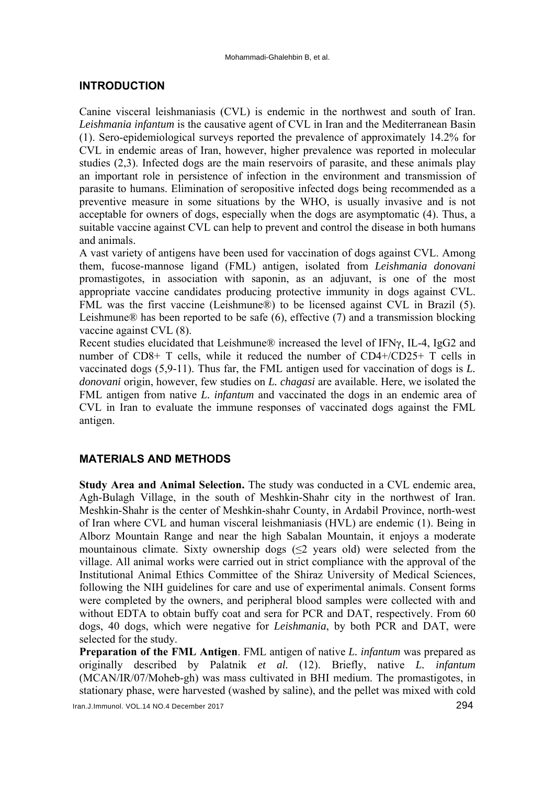# **INTRODUCTION**

Canine visceral leishmaniasis (CVL) is endemic in the northwest and south of Iran. *Leishmania infantum* is the causative agent of CVL in Iran and the Mediterranean Basin (1). Sero-epidemiological surveys reported the prevalence of approximately 14.2% for CVL in endemic areas of Iran, however, higher prevalence was reported in molecular studies (2,3). Infected dogs are the main reservoirs of parasite, and these animals play an important role in persistence of infection in the environment and transmission of parasite to humans. Elimination of seropositive infected dogs being recommended as a preventive measure in some situations by the WHO, is usually invasive and is not acceptable for owners of dogs, especially when the dogs are asymptomatic (4). Thus, a suitable vaccine against CVL can help to prevent and control the disease in both humans and animals.

A vast variety of antigens have been used for vaccination of dogs against CVL. Among them, fucose-mannose ligand (FML) antigen, isolated from *Leishmania donovani* promastigotes, in association with saponin, as an adjuvant, is one of the most appropriate vaccine candidates producing protective immunity in dogs against CVL. FML was the first vaccine (Leishmune®) to be licensed against CVL in Brazil (5). Leishmune® has been reported to be safe (6), effective (7) and a transmission blocking vaccine against CVL (8).

Recent studies elucidated that Leishmune® increased the level of IFNγ, IL-4, IgG2 and number of CD8+ T cells, while it reduced the number of CD4+/CD25+ T cells in vaccinated dogs (5,9-11). Thus far, the FML antigen used for vaccination of dogs is *L. donovani* origin, however, few studies on *L. chagasi* are available. Here, we isolated the FML antigen from native *L. infantum* and vaccinated the dogs in an endemic area of CVL in Iran to evaluate the immune responses of vaccinated dogs against the FML antigen.

# **MATERIALS AND METHODS**

**Study Area and Animal Selection.** The study was conducted in a CVL endemic area, Agh-Bulagh Village, in the south of Meshkin-Shahr city in the northwest of Iran. Meshkin-Shahr is the center of Meshkin-shahr County, in Ardabil Province, north-west of Iran where CVL and human visceral leishmaniasis (HVL) are endemic (1). Being in Alborz Mountain Range and near the high Sabalan Mountain, it enjoys a moderate mountainous climate. Sixty ownership dogs  $(\leq 2$  years old) were selected from the village. All animal works were carried out in strict compliance with the approval of the Institutional Animal Ethics Committee of the Shiraz University of Medical Sciences, following the NIH guidelines for care and use of experimental animals. Consent forms were completed by the owners, and peripheral blood samples were collected with and without EDTA to obtain buffy coat and sera for PCR and DAT, respectively. From 60 dogs, 40 dogs, which were negative for *Leishmania*, by both PCR and DAT, were selected for the study.

**Preparation of the FML Antigen**. FML antigen of native *L. infantum* was prepared as originally described by Palatnik *et al.* (12). Briefly, native *L. infantum* (MCAN/IR/07/Moheb-gh) was mass cultivated in BHI medium. The promastigotes, in stationary phase, were harvested (washed by saline), and the pellet was mixed with cold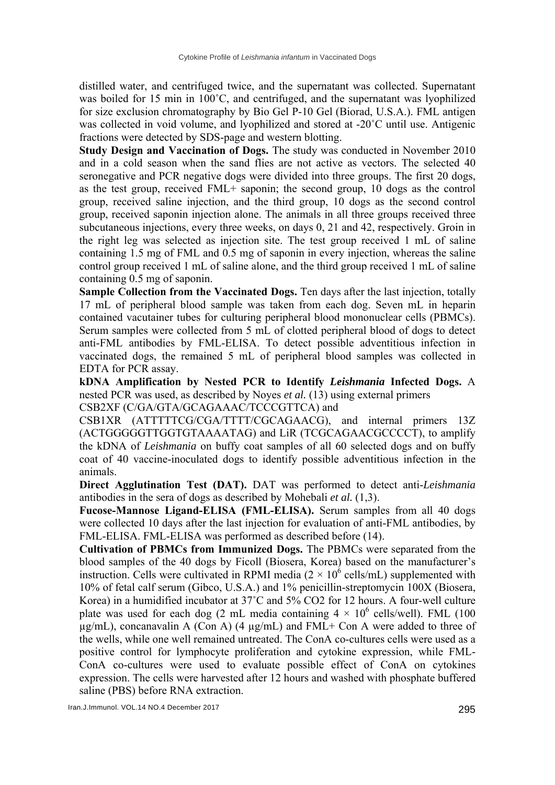distilled water, and centrifuged twice, and the supernatant was collected. Supernatant was boiled for 15 min in 100°C, and centrifuged, and the supernatant was lyophilized for size exclusion chromatography by Bio Gel P-10 Gel (Biorad, U.S.A.). FML antigen was collected in void volume, and lyophilized and stored at -20˚C until use. Antigenic fractions were detected by SDS-page and western blotting.

**Study Design and Vaccination of Dogs.** The study was conducted in November 2010 and in a cold season when the sand flies are not active as vectors. The selected 40 seronegative and PCR negative dogs were divided into three groups. The first 20 dogs, as the test group, received FML+ saponin; the second group, 10 dogs as the control group, received saline injection, and the third group, 10 dogs as the second control group, received saponin injection alone. The animals in all three groups received three subcutaneous injections, every three weeks, on days 0, 21 and 42, respectively. Groin in the right leg was selected as injection site. The test group received 1 mL of saline containing 1.5 mg of FML and 0.5 mg of saponin in every injection, whereas the saline control group received 1 mL of saline alone, and the third group received 1 mL of saline containing 0.5 mg of saponin.

**Sample Collection from the Vaccinated Dogs.** Ten days after the last injection, totally 17 mL of peripheral blood sample was taken from each dog. Seven mL in heparin contained vacutainer tubes for culturing peripheral blood mononuclear cells (PBMCs). Serum samples were collected from 5 mL of clotted peripheral blood of dogs to detect anti-FML antibodies by FML-ELISA. To detect possible adventitious infection in vaccinated dogs, the remained 5 mL of peripheral blood samples was collected in EDTA for PCR assay.

**kDNA Amplification by Nested PCR to Identify** *Leishmania* **Infected Dogs.** A nested PCR was used, as described by Noyes *et al.* (13) using external primers CSB2XF (C/GA/GTA/GCAGAAAC/TCCCGTTCA) and

CSB1XR (ATTTTTCG/CGA/TTTT/CGCAGAACG), and internal primers 13Z (ACTGGGGGTTGGTGTAAAATAG) and LiR (TCGCAGAACGCCCCT), to amplify the kDNA of *Leishmania* on buffy coat samples of all 60 selected dogs and on buffy coat of 40 vaccine-inoculated dogs to identify possible adventitious infection in the animals.

**Direct Agglutination Test (DAT).** DAT was performed to detect anti-*Leishmania* antibodies in the sera of dogs as described by Mohebali *et al.* (1,3).

**Fucose-Mannose Ligand-ELISA (FML-ELISA).** Serum samples from all 40 dogs were collected 10 days after the last injection for evaluation of anti-FML antibodies, by FML-ELISA. FML-ELISA was performed as described before (14).

**Cultivation of PBMCs from Immunized Dogs.** The PBMCs were separated from the blood samples of the 40 dogs by Ficoll (Biosera, Korea) based on the manufacturer's instruction. Cells were cultivated in RPMI media  $(2 \times 10^6 \text{ cells/mL})$  supplemented with 10% of fetal calf serum (Gibco, U.S.A.) and 1% penicillin-streptomycin 100X (Biosera, Korea) in a humidified incubator at 37˚C and 5% CO2 for 12 hours. A four-well culture plate was used for each dog (2 mL media containing  $4 \times 10^6$  cells/well). FML (100  $\mu$ g/mL), concanavalin A (Con A) (4  $\mu$ g/mL) and FML+ Con A were added to three of the wells, while one well remained untreated. The ConA co-cultures cells were used as a positive control for lymphocyte proliferation and cytokine expression, while FML-ConA co-cultures were used to evaluate possible effect of ConA on cytokines expression. The cells were harvested after 12 hours and washed with phosphate buffered saline (PBS) before RNA extraction.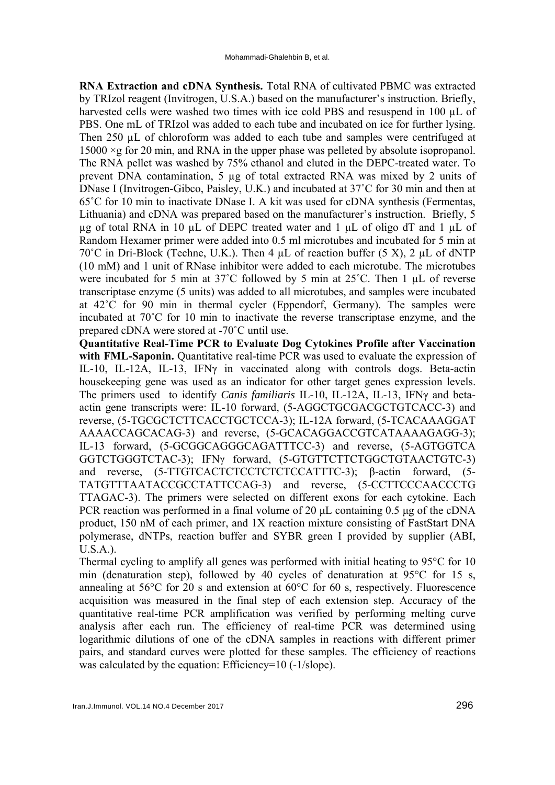**RNA Extraction and cDNA Synthesis.** Total RNA of cultivated PBMC was extracted by TRIzol reagent (Invitrogen, U.S.A.) based on the manufacturer's instruction. Briefly, harvested cells were washed two times with ice cold PBS and resuspend in 100 µL of PBS. One mL of TRIzol was added to each tube and incubated on ice for further lysing. Then 250 µL of chloroform was added to each tube and samples were centrifuged at 15000 ×g for 20 min, and RNA in the upper phase was pelleted by absolute isopropanol. The RNA pellet was washed by 75% ethanol and eluted in the DEPC-treated water. To prevent DNA contamination, 5 µg of total extracted RNA was mixed by 2 units of DNase I (Invitrogen-Gibco, Paisley, U.K.) and incubated at 37˚C for 30 min and then at 65˚C for 10 min to inactivate DNase I. A kit was used for cDNA synthesis (Fermentas, Lithuania) and cDNA was prepared based on the manufacturer's instruction. Briefly, 5  $\mu$ g of total RNA in 10  $\mu$ L of DEPC treated water and 1  $\mu$ L of oligo dT and 1  $\mu$ L of Random Hexamer primer were added into 0.5 ml microtubes and incubated for 5 min at  $70^{\circ}$ C in Dri-Block (Techne, U.K.). Then 4 uL of reaction buffer (5 X), 2 uL of dNTP (10 mM) and 1 unit of RNase inhibitor were added to each microtube. The microtubes were incubated for 5 min at 37°C followed by 5 min at 25°C. Then 1 µL of reverse transcriptase enzyme (5 units) was added to all microtubes, and samples were incubated at 42˚C for 90 min in thermal cycler (Eppendorf, Germany). The samples were incubated at 70˚C for 10 min to inactivate the reverse transcriptase enzyme, and the prepared cDNA were stored at -70˚C until use.

**Quantitative Real-Time PCR to Evaluate Dog Cytokines Profile after Vaccination**  with FML-Saponin. Quantitative real-time PCR was used to evaluate the expression of IL-10, IL-12A, IL-13, IFNγ in vaccinated along with controls dogs. Beta-actin housekeeping gene was used as an indicator for other target genes expression levels. The primers used to identify *Canis familiaris* IL-10, IL-12A, IL-13, IFNγ and betaactin gene transcripts were: IL-10 forward, (5-AGGCTGCGACGCTGTCACC-3) and reverse, (5-TGCGCTCTTCACCTGCTCCA-3); IL-12A forward, (5-TCACAAAGGAT AAAACCAGCACAG-3) and reverse, (5-GCACAGGACCGTCATAAAAGAGG-3); IL-13 forward, (5-GCGGCAGGGCAGATTTCC-3) and reverse, (5-AGTGGTCA GGTCTGGGTCTAC-3); IFNγ forward, (5-GTGTTCTTCTGGCTGTAACTGTC-3) and reverse, (5-TTGTCACTCTCCTCTCTCCATTTC-3); β-actin forward, (5- TATGTTTAATACCGCCTATTCCAG-3) and reverse, (5-CCTTCCCAACCCTG TTAGAC-3). The primers were selected on different exons for each cytokine. Each PCR reaction was performed in a final volume of 20 μL containing 0.5 μg of the cDNA product, 150 nM of each primer, and 1X reaction mixture consisting of FastStart DNA polymerase, dNTPs, reaction buffer and SYBR green I provided by supplier (ABI, U.S.A.).

Thermal cycling to amplify all genes was performed with initial heating to 95°C for 10 min (denaturation step), followed by 40 cycles of denaturation at 95°C for 15 s, annealing at 56°C for 20 s and extension at 60°C for 60 s, respectively. Fluorescence acquisition was measured in the final step of each extension step. Accuracy of the quantitative real-time PCR amplification was verified by performing melting curve analysis after each run. The efficiency of real-time PCR was determined using logarithmic dilutions of one of the cDNA samples in reactions with different primer pairs, and standard curves were plotted for these samples. The efficiency of reactions was calculated by the equation: Efficiency=10 (-1/slope).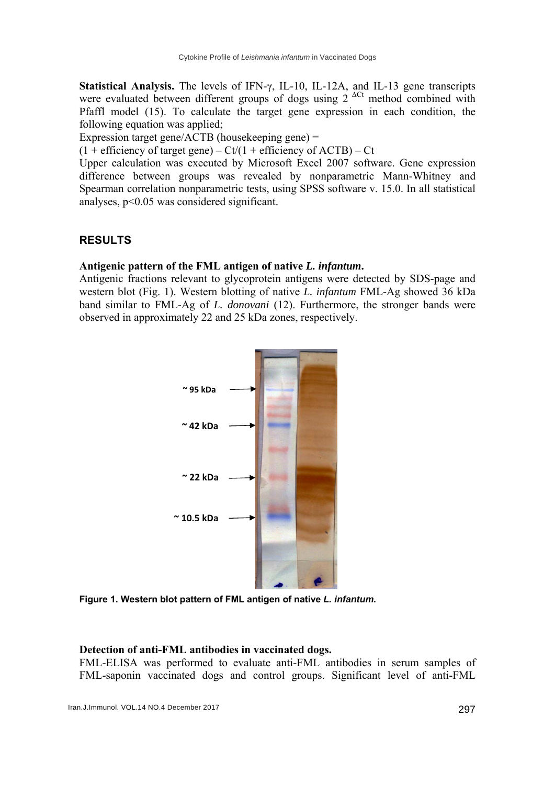**Statistical Analysis.** The levels of IFN-γ, IL-10, IL-12A, and IL-13 gene transcripts were evaluated between different groups of dogs using  $2^{-\Delta Ct}$  method combined with Pfaffl model (15). To calculate the target gene expression in each condition, the following equation was applied;

Expression target gene/ACTB (housekeeping gene) =

 $(1 + \text{efficiency of target gene}) - \text{Ct}/(1 + \text{efficiency of ACTB}) - \text{Ct}$ 

Upper calculation was executed by Microsoft Excel 2007 software. Gene expression difference between groups was revealed by nonparametric Mann-Whitney and Spearman correlation nonparametric tests, using SPSS software v. 15.0. In all statistical analyses, p<0.05 was considered significant.

# **RESULTS**

## **Antigenic pattern of the FML antigen of native** *L. infantum***.**

Antigenic fractions relevant to glycoprotein antigens were detected by SDS-page and western blot (Fig. 1). Western blotting of native *L. infantum* FML-Ag showed 36 kDa band similar to FML-Ag of *L. donovani* (12). Furthermore, the stronger bands were observed in approximately 22 and 25 kDa zones, respectively.



**Figure 1. Western blot pattern of FML antigen of native** *L. infantum.* 

## **Detection of anti-FML antibodies in vaccinated dogs.**

FML-ELISA was performed to evaluate anti-FML antibodies in serum samples of FML-saponin vaccinated dogs and control groups. Significant level of anti-FML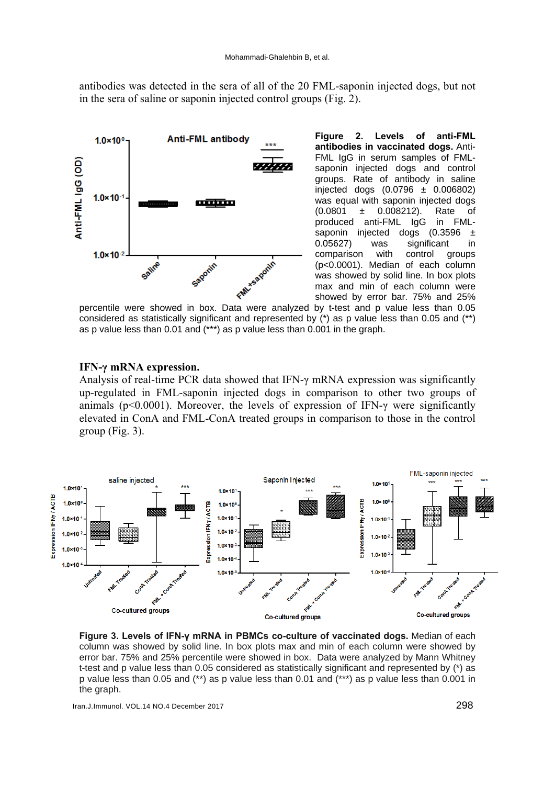antibodies was detected in the sera of all of the 20 FML-saponin injected dogs, but not in the sera of saline or saponin injected control groups (Fig. 2).



**Figure 2. Levels of anti-FML antibodies in vaccinated dogs.** Anti-FML IgG in serum samples of FMLsaponin injected dogs and control groups. Rate of antibody in saline injected dogs (0.0796 ± 0.006802) was equal with saponin injected dogs (0.0801 ± 0.008212). Rate of produced anti-FML IgG in FMLsaponin injected dogs (0.3596 ± 0.05627) was significant in comparison with control groups (p<0.0001). Median of each column was showed by solid line. In box plots max and min of each column were showed by error bar. 75% and 25%

percentile were showed in box. Data were analyzed by t-test and p value less than 0.05 considered as statistically significant and represented by (\*) as p value less than 0.05 and (\*\*) as p value less than 0.01 and (\*\*\*) as p value less than 0.001 in the graph.

#### **IFN-γ mRNA expression.**

Analysis of real-time PCR data showed that IFN- $\gamma$  mRNA expression was significantly up-regulated in FML-saponin injected dogs in comparison to other two groups of animals ( $p<0.0001$ ). Moreover, the levels of expression of IFN- $\gamma$  were significantly elevated in ConA and FML-ConA treated groups in comparison to those in the control group (Fig. 3).



**Figure 3. Levels of IFN-γ mRNA in PBMCs co-culture of vaccinated dogs.** Median of each column was showed by solid line. In box plots max and min of each column were showed by error bar. 75% and 25% percentile were showed in box. Data were analyzed by Mann Whitney t-test and p value less than 0.05 considered as statistically significant and represented by (\*) as p value less than 0.05 and (\*\*) as p value less than 0.01 and (\*\*\*) as p value less than 0.001 in the graph.

Iran.J.Immunol. VOL.14 NO.4 December 2017 298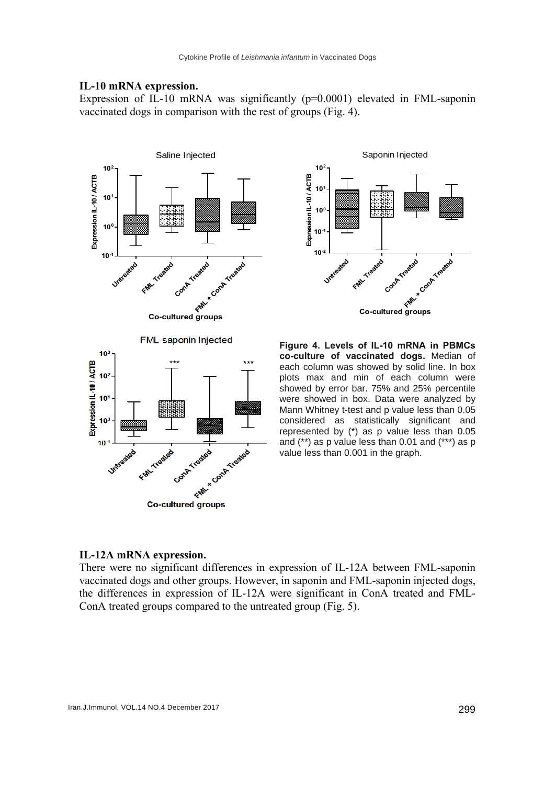#### **IL-10 mRNA expression.**

Expression of IL-10 mRNA was significantly (p=0.0001) elevated in FML-saponin vaccinated dogs in comparison with the rest of groups (Fig. 4).





**Figure 4. Levels of IL-10 mRNA in PBMCs co-culture of vaccinated dogs.** Median of each column was showed by solid line. In box plots max and min of each column were showed by error bar. 75% and 25% percentile were showed in box. Data were analyzed by Mann Whitney t-test and p value less than 0.05 considered as statistically significant and represented by (\*) as p value less than 0.05 and (\*\*) as p value less than 0.01 and (\*\*\*) as p value less than 0.001 in the graph.

#### **IL-12A mRNA expression.**

There were no significant differences in expression of IL-12A between FML-saponin vaccinated dogs and other groups. However, in saponin and FML-saponin injected dogs, the differences in expression of IL-12A were significant in ConA treated and FML-ConA treated groups compared to the untreated group (Fig. 5).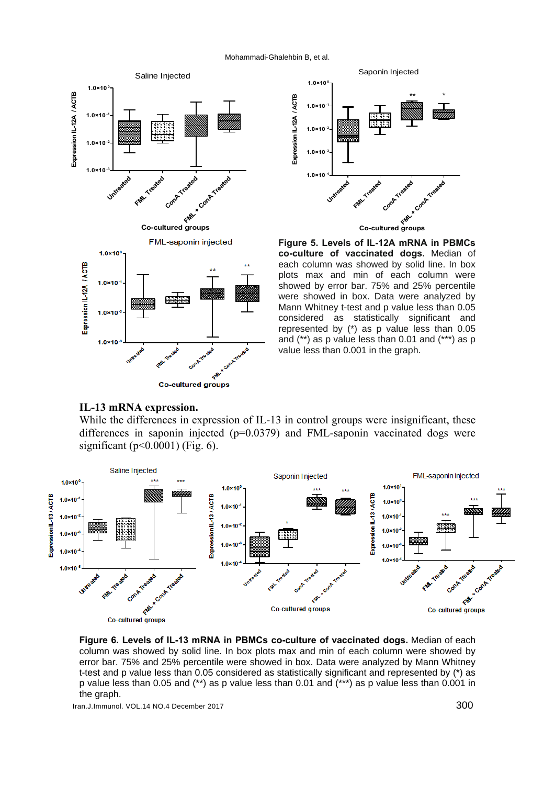Mohammadi-Ghalehbin B, et al.





**Figure 5. Levels of IL-12A mRNA in PBMCs co-culture of vaccinated dogs.** Median of each column was showed by solid line. In box plots max and min of each column were showed by error bar. 75% and 25% percentile were showed in box. Data were analyzed by Mann Whitney t-test and p value less than 0.05 considered as statistically significant and represented by (\*) as p value less than 0.05 and (\*\*) as p value less than 0.01 and (\*\*\*) as p value less than 0.001 in the graph.

#### **IL-13 mRNA expression.**

While the differences in expression of IL-13 in control groups were insignificant, these differences in saponin injected (p=0.0379) and FML-saponin vaccinated dogs were significant ( $p<0.0001$ ) (Fig. 6).

فع

**Co-cultured groups** 



**Figure 6. Levels of IL-13 mRNA in PBMCs co-culture of vaccinated dogs.** Median of each column was showed by solid line. In box plots max and min of each column were showed by error bar. 75% and 25% percentile were showed in box. Data were analyzed by Mann Whitney t-test and p value less than 0.05 considered as statistically significant and represented by (\*) as p value less than 0.05 and (\*\*) as p value less than 0.01 and (\*\*\*) as p value less than 0.001 in the graph.

Iran.J.Immunol. VOL.14 NO.4 December 2017 300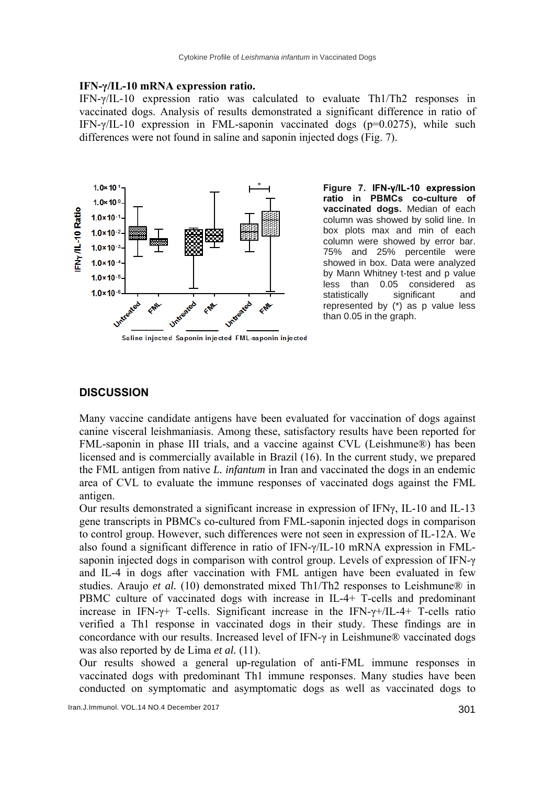#### **IFN-γ/IL-10 mRNA expression ratio.**

IFN-γ/IL-10 expression ratio was calculated to evaluate Th1/Th2 responses in vaccinated dogs. Analysis of results demonstrated a significant difference in ratio of IFN-γ/IL-10 expression in FML-saponin vaccinated dogs (p=0.0275), while such differences were not found in saline and saponin injected dogs (Fig. 7).



**Figure 7. IFN-γ/IL-10 expression ratio in PBMCs co-culture of vaccinated dogs.** Median of each column was showed by solid line. In box plots max and min of each column were showed by error bar. 75% and 25% percentile were showed in box. Data were analyzed by Mann Whitney t-test and p value less than 0.05 considered as statistically significant and represented by (\*) as p value less than 0.05 in the graph.

## **DISCUSSION**

Many vaccine candidate antigens have been evaluated for vaccination of dogs against canine visceral leishmaniasis. Among these, satisfactory results have been reported for FML-saponin in phase III trials, and a vaccine against CVL (Leishmune®) has been licensed and is commercially available in Brazil (16). In the current study, we prepared the FML antigen from native *L. infantum* in Iran and vaccinated the dogs in an endemic area of CVL to evaluate the immune responses of vaccinated dogs against the FML antigen.

Our results demonstrated a significant increase in expression of IFN $\gamma$ , IL-10 and IL-13 gene transcripts in PBMCs co-cultured from FML-saponin injected dogs in comparison to control group. However, such differences were not seen in expression of IL-12A. We also found a significant difference in ratio of IFN-γ/IL-10 mRNA expression in FMLsaponin injected dogs in comparison with control group. Levels of expression of IFN-γ and IL-4 in dogs after vaccination with FML antigen have been evaluated in few studies. Araujo *et al.* (10) demonstrated mixed Th1/Th2 responses to Leishmune<sup>®</sup> in PBMC culture of vaccinated dogs with increase in IL-4+ T-cells and predominant increase in IFN- $\gamma$ + T-cells. Significant increase in the IFN- $\gamma$ +/IL-4+ T-cells ratio verified a Th1 response in vaccinated dogs in their study. These findings are in concordance with our results. Increased level of IFN-γ in Leishmune® vaccinated dogs was also reported by de Lima *et al.* (11).

Our results showed a general up-regulation of anti-FML immune responses in vaccinated dogs with predominant Th1 immune responses. Many studies have been conducted on symptomatic and asymptomatic dogs as well as vaccinated dogs to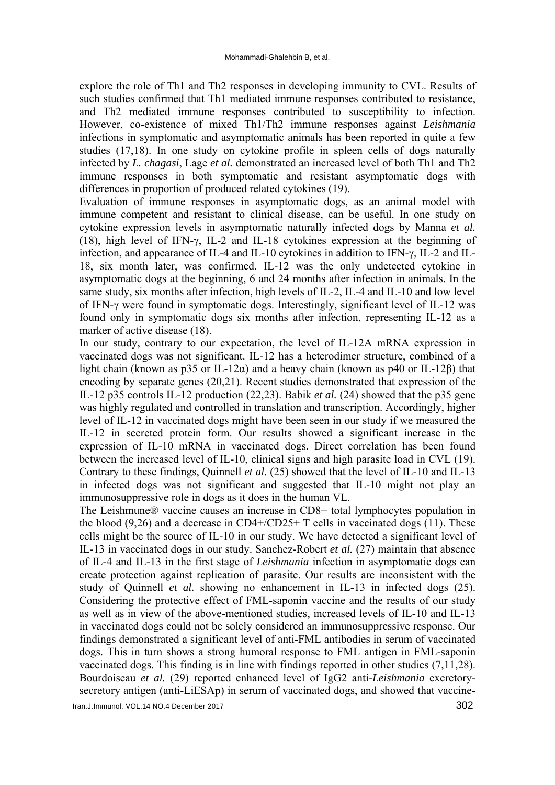explore the role of Th1 and Th2 responses in developing immunity to CVL. Results of such studies confirmed that Th1 mediated immune responses contributed to resistance, and Th2 mediated immune responses contributed to susceptibility to infection. However, co-existence of mixed Th1/Th2 immune responses against *Leishmania* infections in symptomatic and asymptomatic animals has been reported in quite a few studies (17,18). In one study on cytokine profile in spleen cells of dogs naturally infected by *L. chagasi*, Lage *et al.* demonstrated an increased level of both Th1 and Th2 immune responses in both symptomatic and resistant asymptomatic dogs with differences in proportion of produced related cytokines (19).

Evaluation of immune responses in asymptomatic dogs, as an animal model with immune competent and resistant to clinical disease, can be useful. In one study on cytokine expression levels in asymptomatic naturally infected dogs by Manna *et al.* (18), high level of IFN-γ, IL-2 and IL-18 cytokines expression at the beginning of infection, and appearance of IL-4 and IL-10 cytokines in addition to IFN-γ, IL-2 and IL-18, six month later, was confirmed. IL-12 was the only undetected cytokine in asymptomatic dogs at the beginning, 6 and 24 months after infection in animals. In the same study, six months after infection, high levels of IL-2, IL-4 and IL-10 and low level of IFN-γ were found in symptomatic dogs. Interestingly, significant level of IL-12 was found only in symptomatic dogs six months after infection, representing IL-12 as a marker of active disease (18).

In our study, contrary to our expectation, the level of IL-12A mRNA expression in vaccinated dogs was not significant. IL-12 has a heterodimer structure, combined of a light chain (known as p35 or IL-12 $\alpha$ ) and a heavy chain (known as p40 or IL-12 $\beta$ ) that encoding by separate genes (20,21). Recent studies demonstrated that expression of the IL-12 p35 controls IL-12 production (22,23). Babik *et al.* (24) showed that the p35 gene was highly regulated and controlled in translation and transcription. Accordingly, higher level of IL-12 in vaccinated dogs might have been seen in our study if we measured the IL-12 in secreted protein form. Our results showed a significant increase in the expression of IL-10 mRNA in vaccinated dogs. Direct correlation has been found between the increased level of IL-10, clinical signs and high parasite load in CVL (19). Contrary to these findings, Quinnell *et al.* (25) showed that the level of IL-10 and IL-13 in infected dogs was not significant and suggested that IL-10 might not play an immunosuppressive role in dogs as it does in the human VL.

The Leishmune® vaccine causes an increase in CD8+ total lymphocytes population in the blood  $(9,26)$  and a decrease in CD4+/CD25+ T cells in vaccinated dogs  $(11)$ . These cells might be the source of IL-10 in our study. We have detected a significant level of IL-13 in vaccinated dogs in our study. Sanchez-Robert *et al.* (27) maintain that absence of IL-4 and IL-13 in the first stage of *Leishmania* infection in asymptomatic dogs can create protection against replication of parasite. Our results are inconsistent with the study of Quinnell *et al.* showing no enhancement in IL-13 in infected dogs (25). Considering the protective effect of FML-saponin vaccine and the results of our study as well as in view of the above-mentioned studies, increased levels of IL-10 and IL-13 in vaccinated dogs could not be solely considered an immunosuppressive response. Our findings demonstrated a significant level of anti-FML antibodies in serum of vaccinated dogs. This in turn shows a strong humoral response to FML antigen in FML-saponin vaccinated dogs. This finding is in line with findings reported in other studies (7,11,28). Bourdoiseau *et al.* (29) reported enhanced level of IgG2 anti-*Leishmania* excretorysecretory antigen (anti-LiESAp) in serum of vaccinated dogs, and showed that vaccine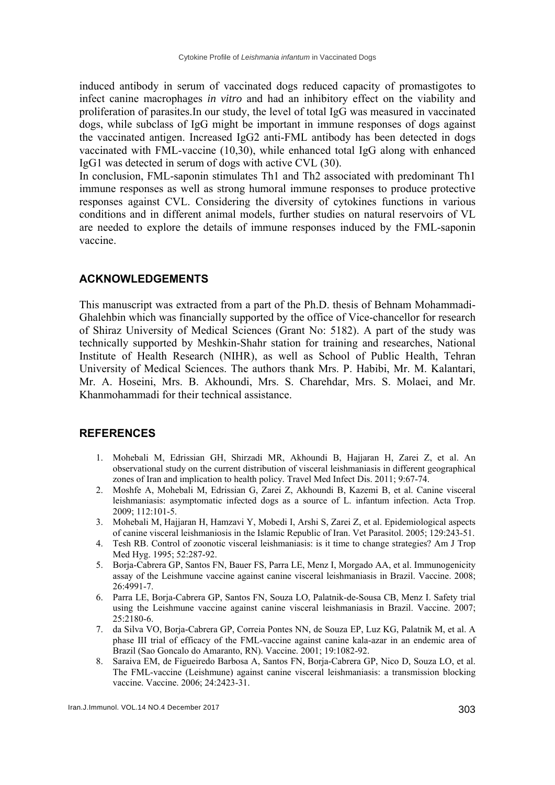induced antibody in serum of vaccinated dogs reduced capacity of promastigotes to infect canine macrophages *in vitro* and had an inhibitory effect on the viability and proliferation of parasites.In our study, the level of total IgG was measured in vaccinated dogs, while subclass of IgG might be important in immune responses of dogs against the vaccinated antigen. Increased IgG2 anti-FML antibody has been detected in dogs vaccinated with FML-vaccine (10,30), while enhanced total IgG along with enhanced IgG1 was detected in serum of dogs with active CVL (30).

In conclusion, FML-saponin stimulates Th1 and Th2 associated with predominant Th1 immune responses as well as strong humoral immune responses to produce protective responses against CVL. Considering the diversity of cytokines functions in various conditions and in different animal models, further studies on natural reservoirs of VL are needed to explore the details of immune responses induced by the FML-saponin vaccine.

### **ACKNOWLEDGEMENTS**

This manuscript was extracted from a part of the Ph.D. thesis of Behnam Mohammadi-Ghalehbin which was financially supported by the office of Vice-chancellor for research of Shiraz University of Medical Sciences (Grant No: 5182). A part of the study was technically supported by Meshkin-Shahr station for training and researches, National Institute of Health Research (NIHR), as well as School of Public Health, Tehran University of Medical Sciences. The authors thank Mrs. P. Habibi, Mr. M. Kalantari, Mr. A. Hoseini, Mrs. B. Akhoundi, Mrs. S. Charehdar, Mrs. S. Molaei, and Mr. Khanmohammadi for their technical assistance.

## **REFERENCES**

- 1. Mohebali M, Edrissian GH, Shirzadi MR, Akhoundi B, Hajjaran H, Zarei Z, et al. An observational study on the current distribution of visceral leishmaniasis in different geographical zones of Iran and implication to health policy. Travel Med Infect Dis. 2011; 9:67-74.
- 2. Moshfe A, Mohebali M, Edrissian G, Zarei Z, Akhoundi B, Kazemi B, et al. Canine visceral leishmaniasis: asymptomatic infected dogs as a source of L. infantum infection. Acta Trop. 2009; 112:101-5.
- 3. Mohebali M, Hajjaran H, Hamzavi Y, Mobedi I, Arshi S, Zarei Z, et al. Epidemiological aspects of canine visceral leishmaniosis in the Islamic Republic of Iran. Vet Parasitol. 2005; 129:243-51.
- 4. Tesh RB. Control of zoonotic visceral leishmaniasis: is it time to change strategies? Am J Trop Med Hyg. 1995; 52:287-92.
- 5. Borja-Cabrera GP, Santos FN, Bauer FS, Parra LE, Menz I, Morgado AA, et al. Immunogenicity assay of the Leishmune vaccine against canine visceral leishmaniasis in Brazil. Vaccine. 2008; 26:4991-7.
- 6. Parra LE, Borja-Cabrera GP, Santos FN, Souza LO, Palatnik-de-Sousa CB, Menz I. Safety trial using the Leishmune vaccine against canine visceral leishmaniasis in Brazil. Vaccine. 2007;  $25:2180-6$
- 7. da Silva VO, Borja-Cabrera GP, Correia Pontes NN, de Souza EP, Luz KG, Palatnik M, et al. A phase III trial of efficacy of the FML-vaccine against canine kala-azar in an endemic area of Brazil (Sao Goncalo do Amaranto, RN). Vaccine. 2001; 19:1082-92.
- 8. Saraiva EM, de Figueiredo Barbosa A, Santos FN, Borja-Cabrera GP, Nico D, Souza LO, et al. The FML-vaccine (Leishmune) against canine visceral leishmaniasis: a transmission blocking vaccine. Vaccine. 2006; 24:2423-31.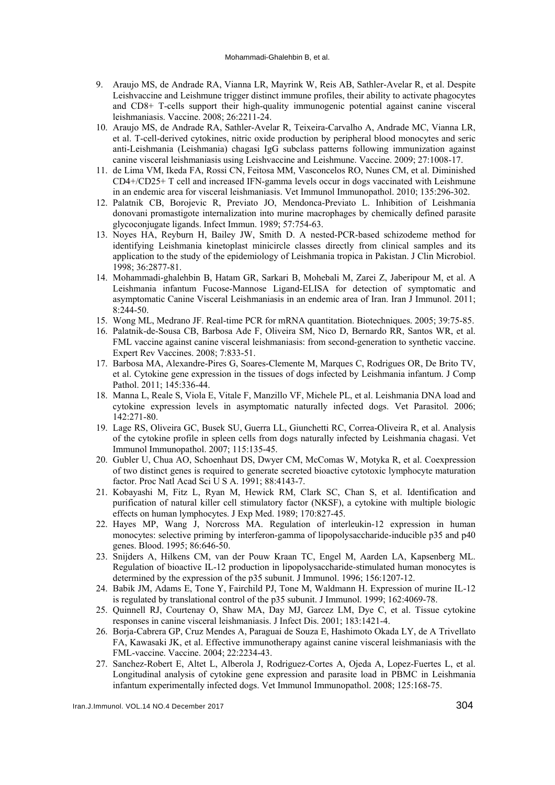- 9. Araujo MS, de Andrade RA, Vianna LR, Mayrink W, Reis AB, Sathler-Avelar R, et al. Despite Leishvaccine and Leishmune trigger distinct immune profiles, their ability to activate phagocytes and CD8+ T-cells support their high-quality immunogenic potential against canine visceral leishmaniasis. Vaccine. 2008; 26:2211-24.
- 10. Araujo MS, de Andrade RA, Sathler-Avelar R, Teixeira-Carvalho A, Andrade MC, Vianna LR, et al. T-cell-derived cytokines, nitric oxide production by peripheral blood monocytes and seric anti-Leishmania (Leishmania) chagasi IgG subclass patterns following immunization against canine visceral leishmaniasis using Leishvaccine and Leishmune. Vaccine. 2009; 27:1008-17.
- 11. de Lima VM, Ikeda FA, Rossi CN, Feitosa MM, Vasconcelos RO, Nunes CM, et al. Diminished CD4+/CD25+ T cell and increased IFN-gamma levels occur in dogs vaccinated with Leishmune in an endemic area for visceral leishmaniasis. Vet Immunol Immunopathol. 2010; 135:296-302.
- 12. Palatnik CB, Borojevic R, Previato JO, Mendonca-Previato L. Inhibition of Leishmania donovani promastigote internalization into murine macrophages by chemically defined parasite glycoconjugate ligands. Infect Immun. 1989; 57:754-63.
- 13. Noyes HA, Reyburn H, Bailey JW, Smith D. A nested-PCR-based schizodeme method for identifying Leishmania kinetoplast minicircle classes directly from clinical samples and its application to the study of the epidemiology of Leishmania tropica in Pakistan. J Clin Microbiol. 1998; 36:2877-81.
- 14. Mohammadi-ghalehbin B, Hatam GR, Sarkari B, Mohebali M, Zarei Z, Jaberipour M, et al. A Leishmania infantum Fucose-Mannose Ligand-ELISA for detection of symptomatic and asymptomatic Canine Visceral Leishmaniasis in an endemic area of Iran. Iran J Immunol. 2011; 8:244-50.
- 15. Wong ML, Medrano JF. Real-time PCR for mRNA quantitation. Biotechniques. 2005; 39:75-85.
- 16. Palatnik-de-Sousa CB, Barbosa Ade F, Oliveira SM, Nico D, Bernardo RR, Santos WR, et al. FML vaccine against canine visceral leishmaniasis: from second-generation to synthetic vaccine. Expert Rev Vaccines. 2008; 7:833-51.
- 17. Barbosa MA, Alexandre-Pires G, Soares-Clemente M, Marques C, Rodrigues OR, De Brito TV, et al. Cytokine gene expression in the tissues of dogs infected by Leishmania infantum. J Comp Pathol. 2011; 145:336-44.
- 18. Manna L, Reale S, Viola E, Vitale F, Manzillo VF, Michele PL, et al. Leishmania DNA load and cytokine expression levels in asymptomatic naturally infected dogs. Vet Parasitol. 2006; 142:271-80.
- 19. Lage RS, Oliveira GC, Busek SU, Guerra LL, Giunchetti RC, Correa-Oliveira R, et al. Analysis of the cytokine profile in spleen cells from dogs naturally infected by Leishmania chagasi. Vet Immunol Immunopathol. 2007; 115:135-45.
- 20. Gubler U, Chua AO, Schoenhaut DS, Dwyer CM, McComas W, Motyka R, et al. Coexpression of two distinct genes is required to generate secreted bioactive cytotoxic lymphocyte maturation factor. Proc Natl Acad Sci U S A. 1991; 88:4143-7.
- 21. Kobayashi M, Fitz L, Ryan M, Hewick RM, Clark SC, Chan S, et al. Identification and purification of natural killer cell stimulatory factor (NKSF), a cytokine with multiple biologic effects on human lymphocytes. J Exp Med. 1989; 170:827-45.
- 22. Hayes MP, Wang J, Norcross MA. Regulation of interleukin-12 expression in human monocytes: selective priming by interferon-gamma of lipopolysaccharide-inducible p35 and p40 genes. Blood. 1995; 86:646-50.
- 23. Snijders A, Hilkens CM, van der Pouw Kraan TC, Engel M, Aarden LA, Kapsenberg ML. Regulation of bioactive IL-12 production in lipopolysaccharide-stimulated human monocytes is determined by the expression of the p35 subunit. J Immunol. 1996; 156:1207-12.
- 24. Babik JM, Adams E, Tone Y, Fairchild PJ, Tone M, Waldmann H. Expression of murine IL-12 is regulated by translational control of the p35 subunit. J Immunol. 1999; 162:4069-78.
- 25. Quinnell RJ, Courtenay O, Shaw MA, Day MJ, Garcez LM, Dye C, et al. Tissue cytokine responses in canine visceral leishmaniasis. J Infect Dis. 2001; 183:1421-4.
- 26. Borja-Cabrera GP, Cruz Mendes A, Paraguai de Souza E, Hashimoto Okada LY, de A Trivellato FA, Kawasaki JK, et al. Effective immunotherapy against canine visceral leishmaniasis with the FML-vaccine. Vaccine. 2004; 22:2234-43.
- 27. Sanchez-Robert E, Altet L, Alberola J, Rodriguez-Cortes A, Ojeda A, Lopez-Fuertes L, et al. Longitudinal analysis of cytokine gene expression and parasite load in PBMC in Leishmania infantum experimentally infected dogs. Vet Immunol Immunopathol. 2008; 125:168-75.